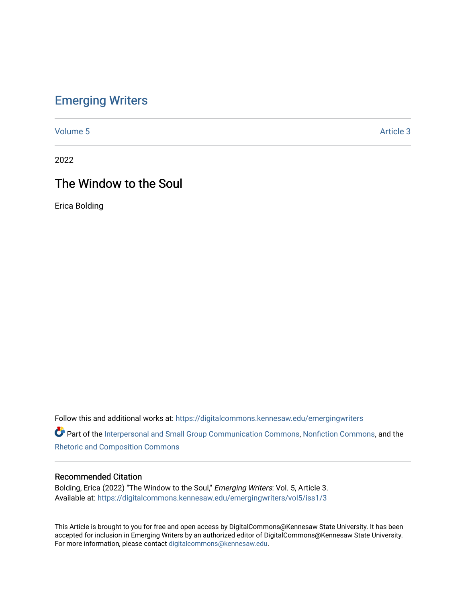# [Emerging Writers](https://digitalcommons.kennesaw.edu/emergingwriters)

[Volume 5](https://digitalcommons.kennesaw.edu/emergingwriters/vol5) Article 3

2022

# The Window to the Soul

Erica Bolding

Follow this and additional works at: [https://digitalcommons.kennesaw.edu/emergingwriters](https://digitalcommons.kennesaw.edu/emergingwriters?utm_source=digitalcommons.kennesaw.edu%2Femergingwriters%2Fvol5%2Fiss1%2F3&utm_medium=PDF&utm_campaign=PDFCoverPages) 

Part of the [Interpersonal and Small Group Communication Commons,](http://network.bepress.com/hgg/discipline/332?utm_source=digitalcommons.kennesaw.edu%2Femergingwriters%2Fvol5%2Fiss1%2F3&utm_medium=PDF&utm_campaign=PDFCoverPages) [Nonfiction Commons,](http://network.bepress.com/hgg/discipline/1152?utm_source=digitalcommons.kennesaw.edu%2Femergingwriters%2Fvol5%2Fiss1%2F3&utm_medium=PDF&utm_campaign=PDFCoverPages) and the [Rhetoric and Composition Commons](http://network.bepress.com/hgg/discipline/573?utm_source=digitalcommons.kennesaw.edu%2Femergingwriters%2Fvol5%2Fiss1%2F3&utm_medium=PDF&utm_campaign=PDFCoverPages) 

#### Recommended Citation

Bolding, Erica (2022) "The Window to the Soul," Emerging Writers: Vol. 5, Article 3. Available at: [https://digitalcommons.kennesaw.edu/emergingwriters/vol5/iss1/3](https://digitalcommons.kennesaw.edu/emergingwriters/vol5/iss1/3?utm_source=digitalcommons.kennesaw.edu%2Femergingwriters%2Fvol5%2Fiss1%2F3&utm_medium=PDF&utm_campaign=PDFCoverPages) 

This Article is brought to you for free and open access by DigitalCommons@Kennesaw State University. It has been accepted for inclusion in Emerging Writers by an authorized editor of DigitalCommons@Kennesaw State University. For more information, please contact [digitalcommons@kennesaw.edu.](mailto:digitalcommons@kennesaw.edu)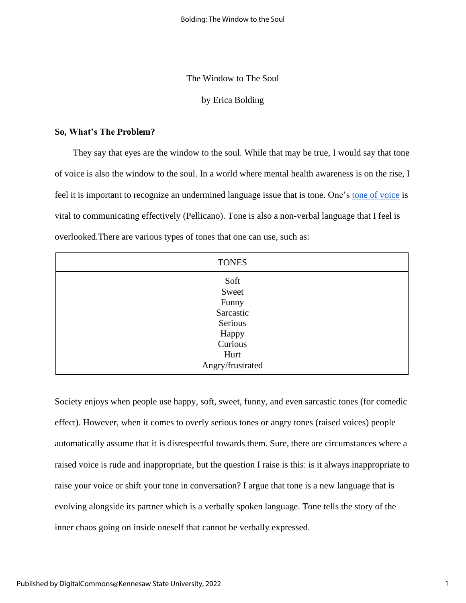#### The Window to The Soul

## by Erica Bolding

#### **So, What's The Problem?**

They say that eyes are the window to the soul. While that may be true, I would say that tone of voice is also the window to the soul. In a world where mental health awareness is on the rise, I feel it is important to recognize an undermined language issue that is tone. One's tone of [voice](https://www.youtube.com/watch?v=5UUV49tf2m0&t=105s) is vital to communicating effectively (Pellicano). Tone is also a non-verbal language that I feel is overlooked.There are various types of tones that one can use, such as:

| <b>TONES</b>                                                               |  |
|----------------------------------------------------------------------------|--|
| Soft<br>Sweet<br>Funny<br>Sarcastic<br>Serious<br>Happy<br>Curious<br>Hurt |  |
| Angry/frustrated                                                           |  |

Society enjoys when people use happy, soft, sweet, funny, and even sarcastic tones (for comedic effect). However, when it comes to overly serious tones or angry tones (raised voices) people automatically assume that it is disrespectful towards them. Sure, there are circumstances where a raised voice is rude and inappropriate, but the question I raise is this: is it always inappropriate to raise your voice or shift your tone in conversation? I argue that tone is a new language that is evolving alongside its partner which is a verbally spoken language. Tone tells the story of the inner chaos going on inside oneself that cannot be verbally expressed.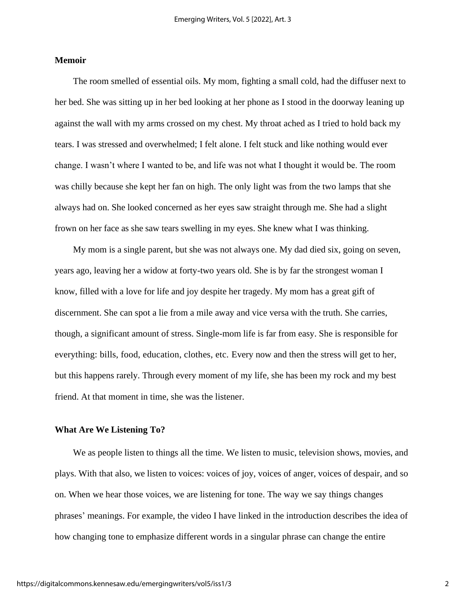### **Memoir**

The room smelled of essential oils. My mom, fighting a small cold, had the diffuser next to her bed. She was sitting up in her bed looking at her phone as I stood in the doorway leaning up against the wall with my arms crossed on my chest. My throat ached as I tried to hold back my tears. I was stressed and overwhelmed; I felt alone. I felt stuck and like nothing would ever change. I wasn't where I wanted to be, and life was not what I thought it would be. The room was chilly because she kept her fan on high. The only light was from the two lamps that she always had on. She looked concerned as her eyes saw straight through me. She had a slight frown on her face as she saw tears swelling in my eyes. She knew what I was thinking.

My mom is a single parent, but she was not always one. My dad died six, going on seven, years ago, leaving her a widow at forty-two years old. She is by far the strongest woman I know, filled with a love for life and joy despite her tragedy. My mom has a great gift of discernment. She can spot a lie from a mile away and vice versa with the truth. She carries, though, a significant amount of stress. Single-mom life is far from easy. She is responsible for everything: bills, food, education, clothes, etc. Every now and then the stress will get to her, but this happens rarely. Through every moment of my life, she has been my rock and my best friend. At that moment in time, she was the listener.

#### **What Are We Listening To?**

We as people listen to things all the time. We listen to music, television shows, movies, and plays. With that also, we listen to voices: voices of joy, voices of anger, voices of despair, and so on. When we hear those voices, we are listening for tone. The way we say things changes phrases' meanings. For example, the video I have linked in the introduction describes the idea of how changing tone to emphasize different words in a singular phrase can change the entire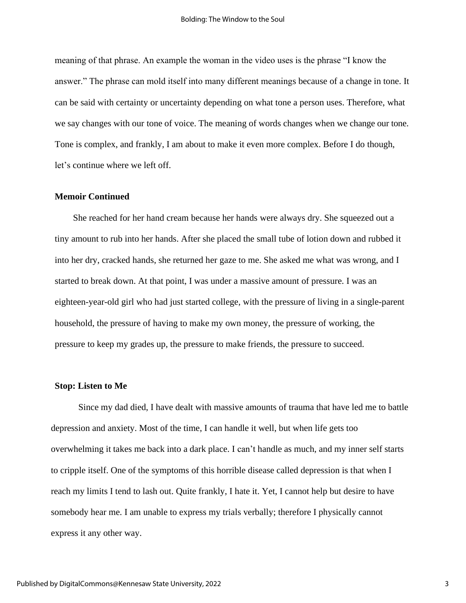meaning of that phrase. An example the woman in the video uses is the phrase "I know the answer." The phrase can mold itself into many different meanings because of a change in tone. It can be said with certainty or uncertainty depending on what tone a person uses. Therefore, what we say changes with our tone of voice. The meaning of words changes when we change our tone. Tone is complex, and frankly, I am about to make it even more complex. Before I do though, let's continue where we left off.

## **Memoir Continued**

She reached for her hand cream because her hands were always dry. She squeezed out a tiny amount to rub into her hands. After she placed the small tube of lotion down and rubbed it into her dry, cracked hands, she returned her gaze to me. She asked me what was wrong, and I started to break down. At that point, I was under a massive amount of pressure. I was an eighteen-year-old girl who had just started college, with the pressure of living in a single-parent household, the pressure of having to make my own money, the pressure of working, the pressure to keep my grades up, the pressure to make friends, the pressure to succeed.

## **Stop: Listen to Me**

Since my dad died, I have dealt with massive amounts of trauma that have led me to battle depression and anxiety. Most of the time, I can handle it well, but when life gets too overwhelming it takes me back into a dark place. I can't handle as much, and my inner self starts to cripple itself. One of the symptoms of this horrible disease called depression is that when I reach my limits I tend to lash out. Quite frankly, I hate it. Yet, I cannot help but desire to have somebody hear me. I am unable to express my trials verbally; therefore I physically cannot express it any other way.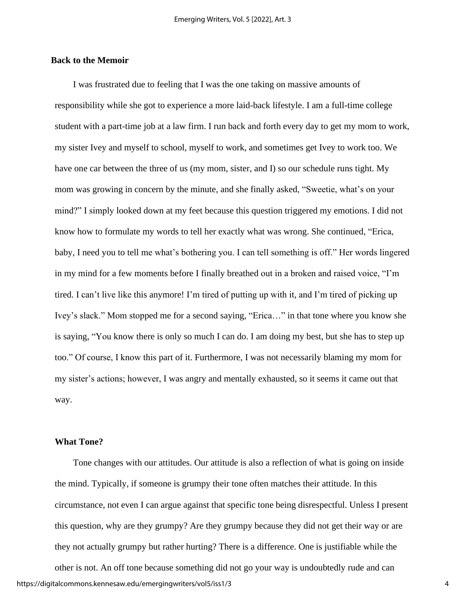## **Back to the Memoir**

I was frustrated due to feeling that I was the one taking on massive amounts of responsibility while she got to experience a more laid-back lifestyle. I am a full-time college student with a part-time job at a law firm. I run back and forth every day to get my mom to work, my sister Ivey and myself to school, myself to work, and sometimes get Ivey to work too. We have one car between the three of us (my mom, sister, and I) so our schedule runs tight. My mom was growing in concern by the minute, and she finally asked, "Sweetie, what's on your mind?" I simply looked down at my feet because this question triggered my emotions. I did not know how to formulate my words to tell her exactly what was wrong. She continued, "Erica, baby, I need you to tell me what's bothering you. I can tell something is off." Her words lingered in my mind for a few moments before I finally breathed out in a broken and raised voice, "I'm tired. I can't live like this anymore! I'm tired of putting up with it, and I'm tired of picking up Ivey's slack." Mom stopped me for a second saying, "Erica…" in that tone where you know she is saying, "You know there is only so much I can do. I am doing my best, but she has to step up too." Of course, I know this part of it. Furthermore, I was not necessarily blaming my mom for my sister's actions; however, I was angry and mentally exhausted, so it seems it came out that way.

## **What Tone?**

Tone changes with our attitudes. Our attitude is also a reflection of what is going on inside the mind. Typically, if someone is grumpy their tone often matches their attitude. In this circumstance, not even I can argue against that specific tone being disrespectful. Unless I present this question, why are they grumpy? Are they grumpy because they did not get their way or are they not actually grumpy but rather hurting? There is a difference. One is justifiable while the

other is not. An off tone because something did not go your way is undoubtedly rude and can https://digitalcommons.kennesaw.edu/emergingwriters/vol5/iss1/3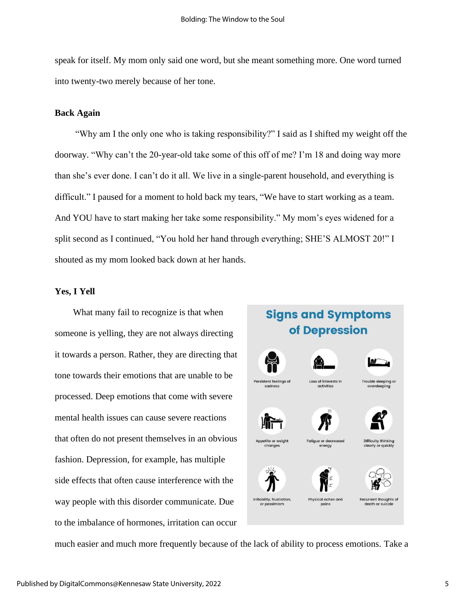speak for itself. My mom only said one word, but she meant something more. One word turned into twenty-two merely because of her tone.

## **Back Again**

"Why am I the only one who is taking responsibility?" I said as I shifted my weight off the doorway. "Why can't the 20-year-old take some of this off of me? I'm 18 and doing way more than she's ever done. I can't do it all. We live in a single-parent household, and everything is difficult." I paused for a moment to hold back my tears, "We have to start working as a team. And YOU have to start making her take some responsibility." My mom's eyes widened for a split second as I continued, "You hold her hand through everything; SHE'S ALMOST 20!" I shouted as my mom looked back down at her hands.

#### **Yes, I Yell**

What many fail to recognize is that when someone is yelling, they are not always directing it towards a person. Rather, they are directing that tone towards their emotions that are unable to be processed. Deep emotions that come with severe mental health issues can cause severe reactions that often do not present themselves in an obvious fashion. Depression, for example, has multiple side effects that often cause interference with the way people with this disorder communicate. Due to the imbalance of hormones, irritation can occur

# **Signs and Symptoms** of Depression



changes



Loss of interests In







Trouble sleeping o



**Fatique or decred** 

energy



death or suicide

much easier and much more frequently because of the lack of ability to process emotions. Take a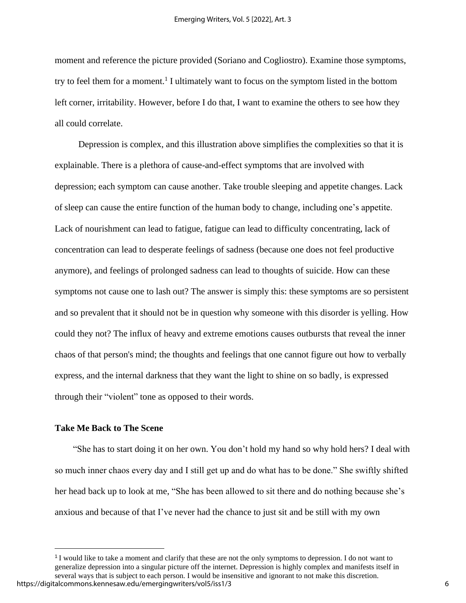moment and reference the picture provided (Soriano and Cogliostro). Examine those symptoms, try to feel them for a moment.<sup>1</sup> I ultimately want to focus on the symptom listed in the bottom left corner, irritability. However, before I do that, I want to examine the others to see how they all could correlate.

Depression is complex, and this illustration above simplifies the complexities so that it is explainable. There is a plethora of cause-and-effect symptoms that are involved with depression; each symptom can cause another. Take trouble sleeping and appetite changes. Lack of sleep can cause the entire function of the human body to change, including one's appetite. Lack of nourishment can lead to fatigue, fatigue can lead to difficulty concentrating, lack of concentration can lead to desperate feelings of sadness (because one does not feel productive anymore), and feelings of prolonged sadness can lead to thoughts of suicide. How can these symptoms not cause one to lash out? The answer is simply this: these symptoms are so persistent and so prevalent that it should not be in question why someone with this disorder is yelling. How could they not? The influx of heavy and extreme emotions causes outbursts that reveal the inner chaos of that person's mind; the thoughts and feelings that one cannot figure out how to verbally express, and the internal darkness that they want the light to shine on so badly, is expressed through their "violent" tone as opposed to their words.

## **Take Me Back to The Scene**

"She has to start doing it on her own. You don't hold my hand so why hold hers? I deal with so much inner chaos every day and I still get up and do what has to be done." She swiftly shifted her head back up to look at me, "She has been allowed to sit there and do nothing because she's anxious and because of that I've never had the chance to just sit and be still with my own

<sup>1</sup>I would like to take a moment and clarify that these are not the only symptoms to depression. I do not want to generalize depression into a singular picture off the internet. Depression is highly complex and manifests itself in several ways that is subject to each person. I would be insensitive and ignorant to not make this discretion. https://digitalcommons.kennesaw.edu/emergingwriters/vol5/iss1/3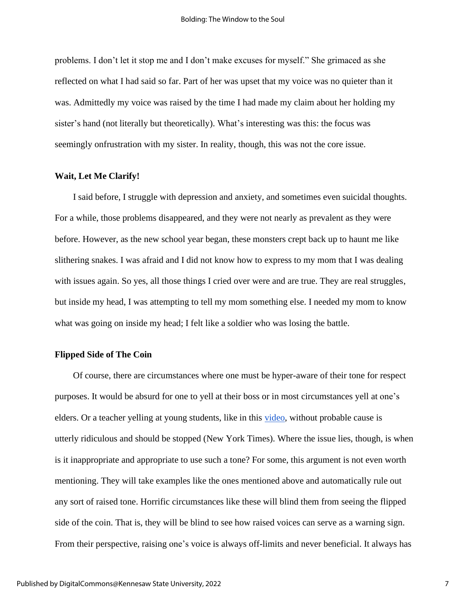problems. I don't let it stop me and I don't make excuses for myself." She grimaced as she reflected on what I had said so far. Part of her was upset that my voice was no quieter than it was. Admittedly my voice was raised by the time I had made my claim about her holding my sister's hand (not literally but theoretically). What's interesting was this: the focus was seemingly onfrustration with my sister. In reality, though, this was not the core issue.

## **Wait, Let Me Clarify!**

I said before, I struggle with depression and anxiety, and sometimes even suicidal thoughts. For a while, those problems disappeared, and they were not nearly as prevalent as they were before. However, as the new school year began, these monsters crept back up to haunt me like slithering snakes. I was afraid and I did not know how to express to my mom that I was dealing with issues again. So yes, all those things I cried over were and are true. They are real struggles, but inside my head, I was attempting to tell my mom something else. I needed my mom to know what was going on inside my head; I felt like a soldier who was losing the battle.

#### **Flipped Side of The Coin**

Of course, there are circumstances where one must be hyper-aware of their tone for respect purposes. It would be absurd for one to yell at their boss or in most circumstances yell at one's elders. Or a teacher yelling at young students, like in this [video,](https://www.nytimes.com/video/nyregion/100000004159212/success-academy-teacher-rip-and-redo-video.html) without probable cause is utterly ridiculous and should be stopped (New York Times). Where the issue lies, though, is when is it inappropriate and appropriate to use such a tone? For some, this argument is not even worth mentioning. They will take examples like the ones mentioned above and automatically rule out any sort of raised tone. Horrific circumstances like these will blind them from seeing the flipped side of the coin. That is, they will be blind to see how raised voices can serve as a warning sign. From their perspective, raising one's voice is always off-limits and never beneficial. It always has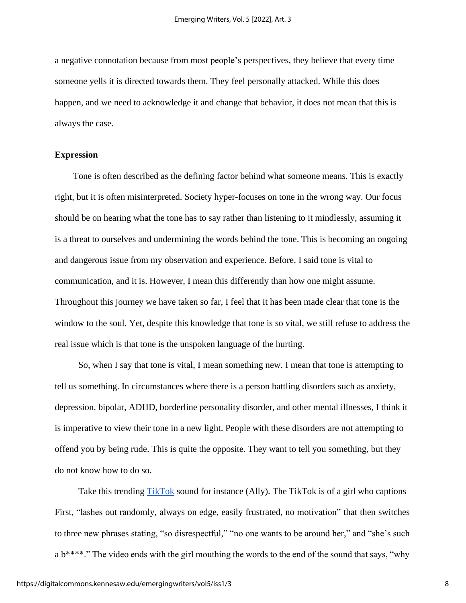a negative connotation because from most people's perspectives, they believe that every time someone yells it is directed towards them. They feel personally attacked. While this does happen, and we need to acknowledge it and change that behavior, it does not mean that this is always the case.

## **Expression**

Tone is often described as the defining factor behind what someone means. This is exactly right, but it is often misinterpreted. Society hyper-focuses on tone in the wrong way. Our focus should be on hearing what the tone has to say rather than listening to it mindlessly, assuming it is a threat to ourselves and undermining the words behind the tone. This is becoming an ongoing and dangerous issue from my observation and experience. Before, I said tone is vital to communication, and it is. However, I mean this differently than how one might assume. Throughout this journey we have taken so far, I feel that it has been made clear that tone is the window to the soul. Yet, despite this knowledge that tone is so vital, we still refuse to address the real issue which is that tone is the unspoken language of the hurting.

So, when I say that tone is vital, I mean something new. I mean that tone is attempting to tell us something. In circumstances where there is a person battling disorders such as anxiety, depression, bipolar, ADHD, borderline personality disorder, and other mental illnesses, I think it is imperative to view their tone in a new light. People with these disorders are not attempting to offend you by being rude. This is quite the opposite. They want to tell you something, but they do not know how to do so.

Take this trending [TikTok](https://www.tiktok.com/@aallycat/video/7018729459838848261?_d=secCgYIASAHKAESPgo%208vlswSBgDf%2BrMIEC4XpxXxvngr%2FIhEmScrdhXXPkCCNPEurNVAA5qayCnSsh%20bKWmEmYAtQQiw3PfXSwfJGgA%3D&checksum=320074609231c6743821da895698%20a9a414364bdbd510d8255867720c925b146b&language=en&preview_pb=0&sec_user_id) sound for instance (Ally). The TikTok is of a girl who captions First, "lashes out randomly, always on edge, easily frustrated, no motivation" that then switches to three new phrases stating, "so disrespectful," "no one wants to be around her," and "she's such a b<sup>\*\*\*\*</sup>." The video ends with the girl mouthing the words to the end of the sound that says, "why"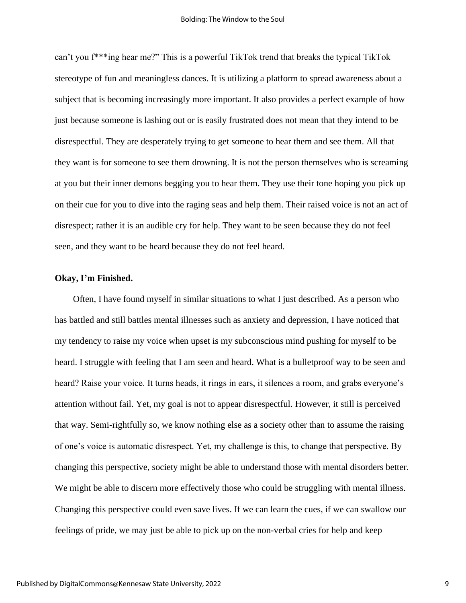can't you f\*\*\*ing hear me?" This is a powerful TikTok trend that breaks the typical TikTok stereotype of fun and meaningless dances. It is utilizing a platform to spread awareness about a subject that is becoming increasingly more important. It also provides a perfect example of how just because someone is lashing out or is easily frustrated does not mean that they intend to be disrespectful. They are desperately trying to get someone to hear them and see them. All that they want is for someone to see them drowning. It is not the person themselves who is screaming at you but their inner demons begging you to hear them. They use their tone hoping you pick up on their cue for you to dive into the raging seas and help them. Their raised voice is not an act of disrespect; rather it is an audible cry for help. They want to be seen because they do not feel seen, and they want to be heard because they do not feel heard.

## **Okay, I'm Finished.**

Often, I have found myself in similar situations to what I just described. As a person who has battled and still battles mental illnesses such as anxiety and depression, I have noticed that my tendency to raise my voice when upset is my subconscious mind pushing for myself to be heard. I struggle with feeling that I am seen and heard. What is a bulletproof way to be seen and heard? Raise your voice. It turns heads, it rings in ears, it silences a room, and grabs everyone's attention without fail. Yet, my goal is not to appear disrespectful. However, it still is perceived that way. Semi-rightfully so, we know nothing else as a society other than to assume the raising of one's voice is automatic disrespect. Yet, my challenge is this, to change that perspective. By changing this perspective, society might be able to understand those with mental disorders better. We might be able to discern more effectively those who could be struggling with mental illness. Changing this perspective could even save lives. If we can learn the cues, if we can swallow our feelings of pride, we may just be able to pick up on the non-verbal cries for help and keep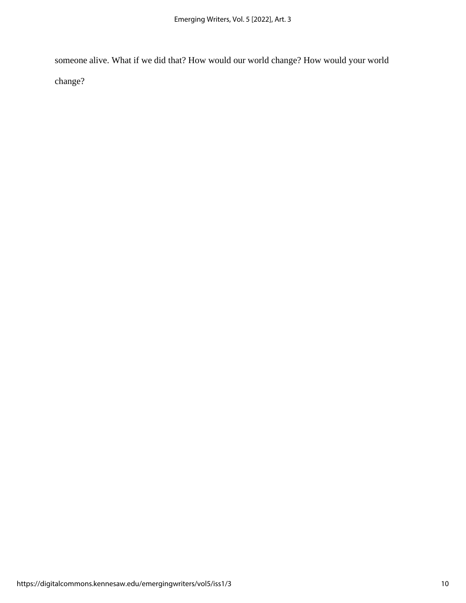someone alive. What if we did that? How would our world change? How would your world change?